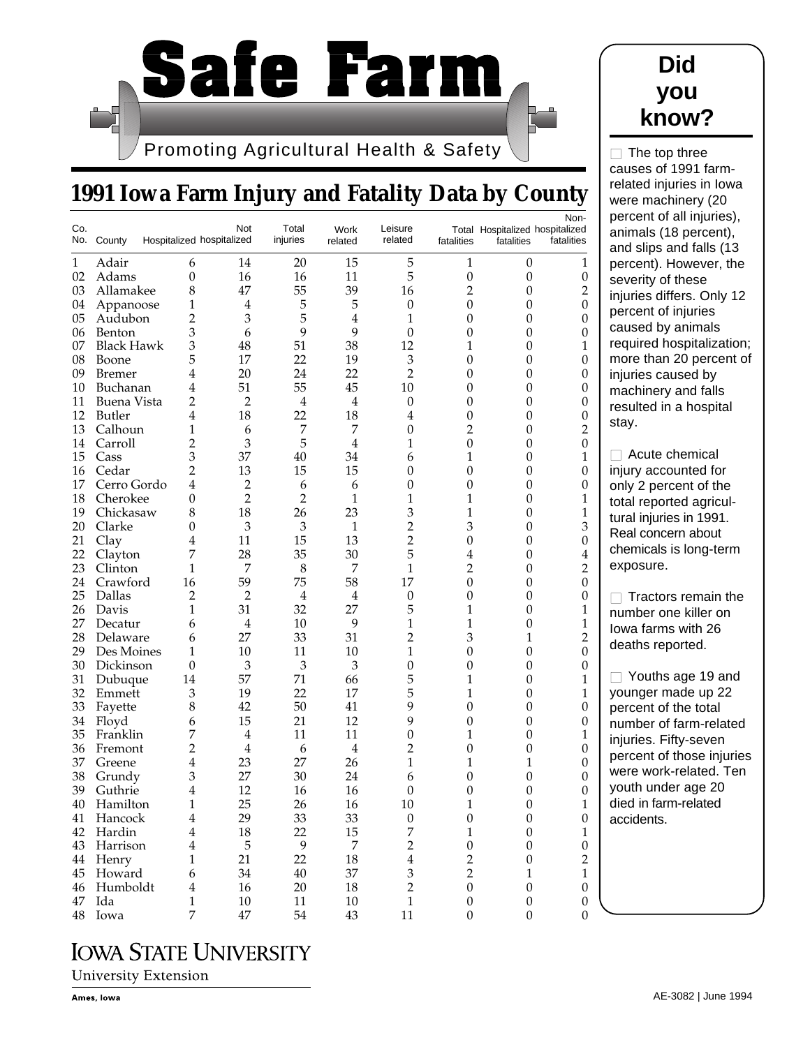

# **1991 Iowa Farm Injury and Fatality Data by County**

| Co. | No. County        |                | Not<br>Hospitalized hospitalized | Total<br>injuries | Work<br>related  | Leisure<br>related | fatalities       | Total Hospitalized hospitalized<br>fatalities | Non-<br>fatalities |
|-----|-------------------|----------------|----------------------------------|-------------------|------------------|--------------------|------------------|-----------------------------------------------|--------------------|
| 1   | Adair             | 6              | 14                               | 20                | 15               | 5                  | 1                | $\boldsymbol{0}$                              | 1                  |
| 02  | Adams             | $\overline{0}$ | 16                               | 16                | 11               | 5                  | $\boldsymbol{0}$ | $\boldsymbol{0}$                              | $\boldsymbol{0}$   |
| 03  | Allamakee         | 8              | 47                               | 55                | 39               | 16                 | $\overline{2}$   | $\overline{0}$                                | $\overline{c}$     |
| 04  | Appanoose         | 1              | 4                                | 5                 | 5                | 0                  | $\boldsymbol{0}$ | 0                                             | $\mathbf{0}$       |
| 05  | Audubon           | 2              | 3                                | 5                 | $\overline{4}$   | 1                  | $\boldsymbol{0}$ | 0                                             | $\theta$           |
| 06  | Benton            | 3              | 6                                | 9                 | 9                | $\boldsymbol{0}$   | $\boldsymbol{0}$ | $\boldsymbol{0}$                              | $\boldsymbol{0}$   |
| 07  | <b>Black Hawk</b> | 3              | 48                               | 51                | 38               | 12                 | 1                | $\overline{0}$                                | 1                  |
| 08  | Boone             | 5              | 17                               | 22                | 19               | $\mathfrak z$      | $\boldsymbol{0}$ | $\overline{0}$                                | $\mathbf{0}$       |
| 09  | <b>Bremer</b>     | 4              | 20                               | 24                | 22               | $\overline{2}$     | $\overline{0}$   | $\overline{0}$                                | $\mathbf{0}$       |
| 10  | Buchanan          | 4              | 51                               | 55                | 45               | 10                 | $\boldsymbol{0}$ | $\boldsymbol{0}$                              | $\mathbf{0}$       |
| 11  | Buena Vista       | 2              | 2                                | $\overline{4}$    | $\overline{4}$   | 0                  | $\overline{0}$   | $\overline{0}$                                | $\boldsymbol{0}$   |
| 12  | <b>Butler</b>     | 4              | 18                               | 22                | 18               | 4                  | $\boldsymbol{0}$ | $\overline{0}$                                | $\mathbf{0}$       |
| 13  | Calhoun           | 1              | 6                                | 7                 | 7                | 0                  | 2                | $\overline{0}$                                | $\overline{2}$     |
| 14  | Carroll           | $\overline{c}$ | 3                                | 5                 | $\overline{4}$   | 1                  | $\mathbf{0}$     | $\boldsymbol{0}$                              | $\boldsymbol{0}$   |
| 15  | Cass              | 3              | 37                               | 40                | 34               | 6                  | 1                | $\overline{0}$                                | 1                  |
| 16  | Cedar             | 2              | 13                               | 15                | 15               | 0                  | $\mathbf{0}$     | $\overline{0}$                                | $\mathbf{0}$       |
| 17  | Cerro Gordo       | 4              | $\overline{c}$                   | 6                 | 6                | 0                  | $\overline{0}$   | $\overline{0}$                                | $\mathbf{0}$       |
| 18  | Cherokee          | 0              | $\overline{2}$                   | $\overline{2}$    | 1                | 1                  | 1                | $\boldsymbol{0}$                              | 1                  |
| 19  | Chickasaw         | 8              | 18                               | 26                | 23               | 3                  | 1                | $\overline{0}$                                | 1                  |
| 20  | Clarke            | 0              | 3                                | 3                 | 1                | $\overline{2}$     | 3                | 0                                             | 3                  |
| 21  | Clay              | 4              | 11                               | 15                | 13               | $\overline{2}$     | $\overline{0}$   | $\overline{0}$                                | $\boldsymbol{0}$   |
| 22  | Clayton           | 7              | 28                               | 35                | 30               | 5                  | $\overline{4}$   | $\boldsymbol{0}$                              | $\overline{4}$     |
| 23  | Clinton           | 1              | 7                                | 8                 | 7                | 1                  | $\overline{2}$   | $\overline{0}$                                | $\overline{c}$     |
| 24  | Crawford          | 16             | 59                               | 75                | 58               | 17                 | $\theta$         | 0                                             | $\mathbf{0}$       |
| 25  | Dallas            | 2              | 2                                | $\overline{4}$    | $\overline{4}$   | 0                  | 0                | $\overline{0}$                                | $\mathbf{0}$       |
| 26  | Davis             | 1              | 31                               | 32                | 27               | 5                  | 1                | $\boldsymbol{0}$                              | 1                  |
| 27  | Decatur           | 6              | 4                                | 10                | 9                | 1                  | 1                | $\overline{0}$                                | 1                  |
| 28  | Delaware          | 6              | 27                               | 33                | 31               | 2                  | 3                | 1                                             | $\overline{2}$     |
| 29  | Des Moines        | 1              | 10                               | 11                | 10               | 1                  | 0                | $\overline{0}$                                | $\mathbf{0}$       |
| 30  | Dickinson         | $\theta$       | 3                                | 3                 | 3                | $\boldsymbol{0}$   | 0                | $\boldsymbol{0}$                              | $\boldsymbol{0}$   |
| 31  | Dubuque           | 14             | 57                               | 71                | 66               | 5                  | 1                | $\overline{0}$                                | 1                  |
| 32  | Emmett            | 3              | 19                               | 22                | 17               | 5                  | 1                | $\overline{0}$                                | 1                  |
| 33  | Fayette           | 8              | 42                               | 50                | 41               | 9                  | $\overline{0}$   | $\overline{0}$                                | $\mathbf{0}$       |
| 34  | Floyd             | 6              | 15                               | 21                | 12               | 9                  | $\mathbf{0}$     | $\boldsymbol{0}$                              | $\boldsymbol{0}$   |
| 35  | Franklin          | 7              | 4                                | 11                | 11               | $\boldsymbol{0}$   | 1                | $\overline{0}$                                | 1                  |
| 36  | Fremont           | 2              | $\overline{4}$                   | 6                 | $\overline{4}$   | 2                  | $\overline{0}$   | $\overline{0}$                                | $\boldsymbol{0}$   |
| 37  | Greene            | 4              | 23                               | 27                | 26               | 1                  | 1                | 1                                             | $\mathbf{0}$       |
| 38  | Grundy            | 3              | 27                               | 30                | 24               | 6                  | $\boldsymbol{0}$ | 0                                             | $\boldsymbol{0}$   |
| 39  | Guthrie           | 4              | 12                               | 16                | 16               | 0                  | 0                | $\overline{0}$                                | $\boldsymbol{0}$   |
| 40  | Hamilton          | 1              | 25                               | 26                | 16               | 10                 | 1                | $\overline{0}$                                | 1                  |
| 41  | Hancock           | $\overline{4}$ | 29                               | 33                | 33               | $\boldsymbol{0}$   | $\boldsymbol{0}$ | $\boldsymbol{0}$                              | $\boldsymbol{0}$   |
| 42  | Hardin            | $\overline{4}$ | 18                               | 22                | 15               | 7                  | $\mathbf{1}$     | $\boldsymbol{0}$                              | $\mathbf{1}$       |
|     | 43 Harrison       | $\overline{4}$ | 5                                | $\mathbf{9}$      | $\boldsymbol{7}$ | $\overline{c}$     | $\boldsymbol{0}$ | $\boldsymbol{0}$                              | $\boldsymbol{0}$   |
|     | 44 Henry          | 1              | 21                               | 22                | 18               | $\bf 4$            | $\overline{2}$   | $\boldsymbol{0}$                              | $\overline{2}$     |
| 45  | Howard            | 6              | 34                               | $40\,$            | 37               | $\mathfrak{Z}$     | $\overline{2}$   | $\mathbf{1}$                                  | $\,1\,$            |
|     | 46 Humboldt       | $\overline{4}$ | 16                               | $20\,$            | 18               | $\overline{2}$     | $\boldsymbol{0}$ | $\boldsymbol{0}$                              | $\boldsymbol{0}$   |
| 47  | Ida               | 1              | 10                               | 11                | $10\,$           | $\,1\,$            | $\boldsymbol{0}$ | $\boldsymbol{0}$                              | $\boldsymbol{0}$   |
| 48  | Iowa              | 7              | $47\,$                           | 54                | 43               | 11                 | $\boldsymbol{0}$ | $\boldsymbol{0}$                              | $\boldsymbol{0}$   |

#### **Did you know?**

 $\Box$  The top three causes of 1991 farmrelated injuries in Iowa were machinery (20 ercent of all injuries), nimals (18 percent), and slips and falls (13 percent). However, the everity of these juries differs. Only 12 ercent of injuries aused by animals equired hospitalization; ore than 20 percent of juries caused by achinery and falls sulted in a hospital ay.

Acute chemical jury accounted for nly 2 percent of the tal reported agriculral injuries in 1991. eal concern about nemicals is long-term exposure.

■ Tractors remain the number one killer on wa farms with 26 eaths reported.

Youths age 19 and ounger made up 22 ercent of the total umber of farm-related juries. Fifty-seven ercent of those injuries ere work-related. Ten buth under age 20 ed in farm-related ccidents.

## **IOWA STATE UNIVERSITY**

**University Extension**